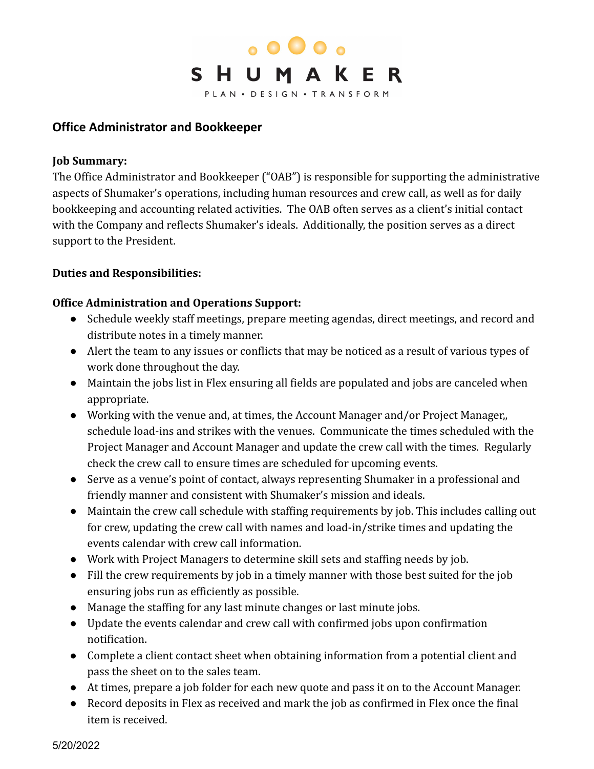

# **Office Administrator and Bookkeeper**

#### **Job Summary:**

The Office Administrator and Bookkeeper ("OAB") is responsible for supporting the administrative aspects of Shumaker's operations, including human resources and crew call, as well as for daily bookkeeping and accounting related activities. The OAB often serves as a client's initial contact with the Company and reflects Shumaker's ideals. Additionally, the position serves as a direct support to the President.

## **Duties and Responsibilities:**

## **Office Administration and Operations Support:**

- Schedule weekly staff meetings, prepare meeting agendas, direct meetings, and record and distribute notes in a timely manner.
- Alert the team to any issues or conflicts that may be noticed as a result of various types of work done throughout the day.
- Maintain the jobs list in Flex ensuring all fields are populated and jobs are canceled when appropriate.
- Working with the venue and, at times, the Account Manager and/or Project Manager,, schedule load-ins and strikes with the venues. Communicate the times scheduled with the Project Manager and Account Manager and update the crew call with the times. Regularly check the crew call to ensure times are scheduled for upcoming events.
- Serve as a venue's point of contact, always representing Shumaker in a professional and friendly manner and consistent with Shumaker's mission and ideals.
- Maintain the crew call schedule with staffing requirements by job. This includes calling out for crew, updating the crew call with names and load-in/strike times and updating the events calendar with crew call information.
- Work with Project Managers to determine skill sets and staffing needs by job.
- Fill the crew requirements by job in a timely manner with those best suited for the job ensuring jobs run as efficiently as possible.
- Manage the staffing for any last minute changes or last minute jobs.
- Update the events calendar and crew call with confirmed jobs upon confirmation notification.
- Complete a client contact sheet when obtaining information from a potential client and pass the sheet on to the sales team.
- At times, prepare a job folder for each new quote and pass it on to the Account Manager.
- Record deposits in Flex as received and mark the job as confirmed in Flex once the final item is received.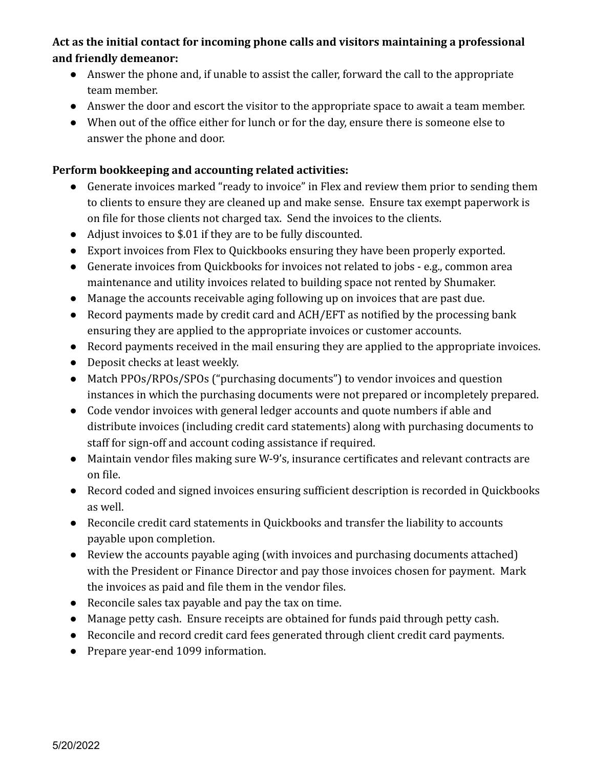# **Act as the initial contact for incoming phone calls and visitors maintaining a professional and friendly demeanor:**

- Answer the phone and, if unable to assist the caller, forward the call to the appropriate team member.
- Answer the door and escort the visitor to the appropriate space to await a team member.
- When out of the office either for lunch or for the day, ensure there is someone else to answer the phone and door.

# **Perform bookkeeping and accounting related activities:**

- Generate invoices marked "ready to invoice" in Flex and review them prior to sending them to clients to ensure they are cleaned up and make sense. Ensure tax exempt paperwork is on file for those clients not charged tax. Send the invoices to the clients.
- Adjust invoices to \$.01 if they are to be fully discounted.
- Export invoices from Flex to Quickbooks ensuring they have been properly exported.
- Generate invoices from Quickbooks for invoices not related to jobs e.g., common area maintenance and utility invoices related to building space not rented by Shumaker.
- Manage the accounts receivable aging following up on invoices that are past due.
- Record payments made by credit card and ACH/EFT as notified by the processing bank ensuring they are applied to the appropriate invoices or customer accounts.
- Record payments received in the mail ensuring they are applied to the appropriate invoices.
- Deposit checks at least weekly.
- Match PPOs/RPOs/SPOs ("purchasing documents") to vendor invoices and question instances in which the purchasing documents were not prepared or incompletely prepared.
- Code vendor invoices with general ledger accounts and quote numbers if able and distribute invoices (including credit card statements) along with purchasing documents to staff for sign-off and account coding assistance if required.
- Maintain vendor files making sure W-9's, insurance certificates and relevant contracts are on file.
- Record coded and signed invoices ensuring sufficient description is recorded in Quickbooks as well.
- Reconcile credit card statements in Quickbooks and transfer the liability to accounts payable upon completion.
- Review the accounts payable aging (with invoices and purchasing documents attached) with the President or Finance Director and pay those invoices chosen for payment. Mark the invoices as paid and file them in the vendor files.
- Reconcile sales tax payable and pay the tax on time.
- Manage petty cash. Ensure receipts are obtained for funds paid through petty cash.
- Reconcile and record credit card fees generated through client credit card payments.
- Prepare year-end 1099 information.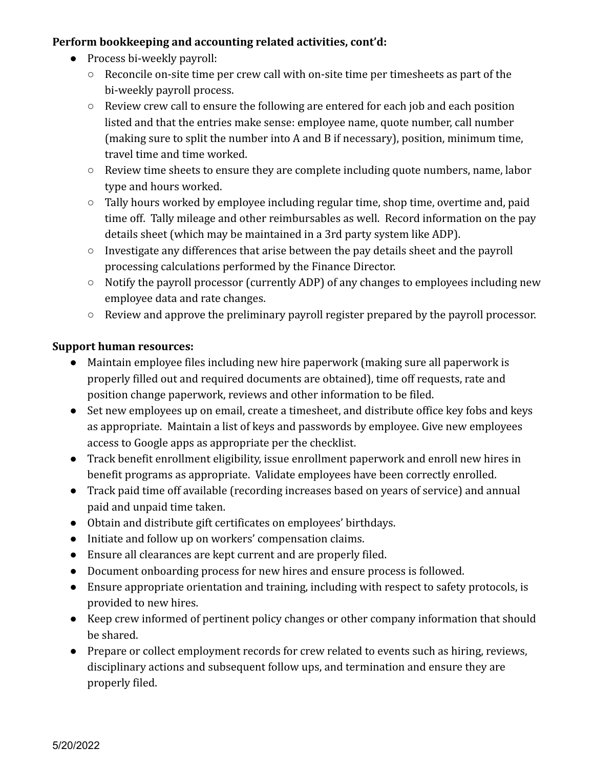# **Perform bookkeeping and accounting related activities, cont'd:**

- Process bi-weekly payroll:
	- Reconcile on-site time per crew call with on-site time per timesheets as part of the bi-weekly payroll process.
	- Review crew call to ensure the following are entered for each job and each position listed and that the entries make sense: employee name, quote number, call number (making sure to split the number into A and B if necessary), position, minimum time, travel time and time worked.
	- Review time sheets to ensure they are complete including quote numbers, name, labor type and hours worked.
	- Tally hours worked by employee including regular time, shop time, overtime and, paid time off. Tally mileage and other reimbursables as well. Record information on the pay details sheet (which may be maintained in a 3rd party system like ADP).
	- Investigate any differences that arise between the pay details sheet and the payroll processing calculations performed by the Finance Director.
	- Notify the payroll processor (currently ADP) of any changes to employees including new employee data and rate changes.
	- Review and approve the preliminary payroll register prepared by the payroll processor.

# **Support human resources:**

- Maintain employee files including new hire paperwork (making sure all paperwork is properly filled out and required documents are obtained), time off requests, rate and position change paperwork, reviews and other information to be filed.
- Set new employees up on email, create a timesheet, and distribute office key fobs and keys as appropriate. Maintain a list of keys and passwords by employee. Give new employees access to Google apps as appropriate per the checklist.
- Track benefit enrollment eligibility, issue enrollment paperwork and enroll new hires in benefit programs as appropriate. Validate employees have been correctly enrolled.
- Track paid time off available (recording increases based on years of service) and annual paid and unpaid time taken.
- Obtain and distribute gift certificates on employees' birthdays.
- Initiate and follow up on workers' compensation claims.
- Ensure all clearances are kept current and are properly filed.
- Document onboarding process for new hires and ensure process is followed.
- Ensure appropriate orientation and training, including with respect to safety protocols, is provided to new hires.
- Keep crew informed of pertinent policy changes or other company information that should be shared.
- Prepare or collect employment records for crew related to events such as hiring, reviews, disciplinary actions and subsequent follow ups, and termination and ensure they are properly filed.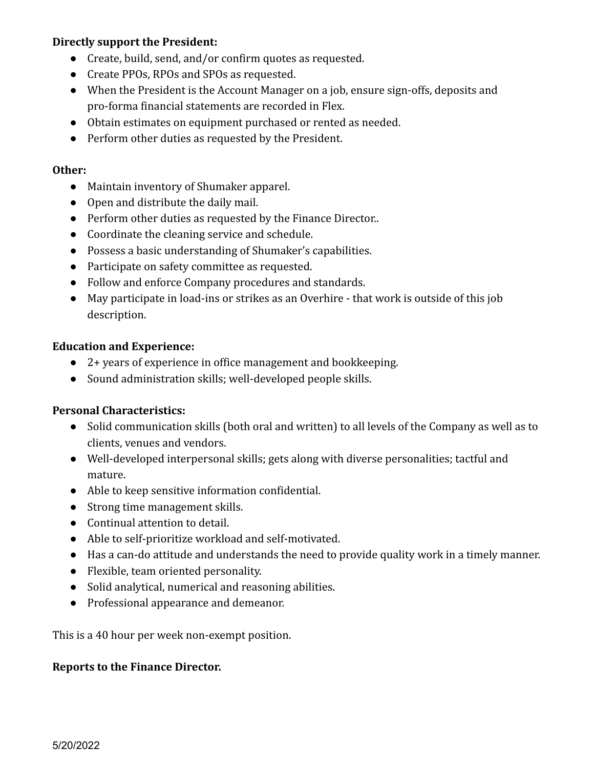# **Directly support the President:**

- Create, build, send, and/or confirm quotes as requested.
- Create PPOs, RPOs and SPOs as requested.
- When the President is the Account Manager on a job, ensure sign-offs, deposits and pro-forma financial statements are recorded in Flex.
- Obtain estimates on equipment purchased or rented as needed.
- Perform other duties as requested by the President.

## **Other:**

- Maintain inventory of Shumaker apparel.
- Open and distribute the daily mail.
- Perform other duties as requested by the Finance Director..
- Coordinate the cleaning service and schedule.
- Possess a basic understanding of Shumaker's capabilities.
- Participate on safety committee as requested.
- Follow and enforce Company procedures and standards.
- May participate in load-ins or strikes as an Overhire that work is outside of this job description.

## **Education and Experience:**

- 2+ years of experience in office management and bookkeeping.
- Sound administration skills; well-developed people skills.

## **Personal Characteristics:**

- Solid communication skills (both oral and written) to all levels of the Company as well as to clients, venues and vendors.
- Well-developed interpersonal skills; gets along with diverse personalities; tactful and mature.
- Able to keep sensitive information confidential.
- Strong time management skills.
- Continual attention to detail.
- Able to self-prioritize workload and self-motivated.
- Has a can-do attitude and understands the need to provide quality work in a timely manner.
- Flexible, team oriented personality.
- Solid analytical, numerical and reasoning abilities.
- Professional appearance and demeanor.

This is a 40 hour per week non-exempt position.

## **Reports to the Finance Director.**